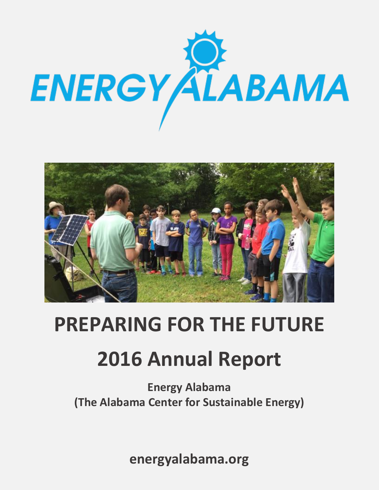



# **PREPARING FOR THE FUTURE**

# **2016 Annual Report**

**Energy Alabama (The Alabama Center for Sustainable Energy)**

**energyalabama.org**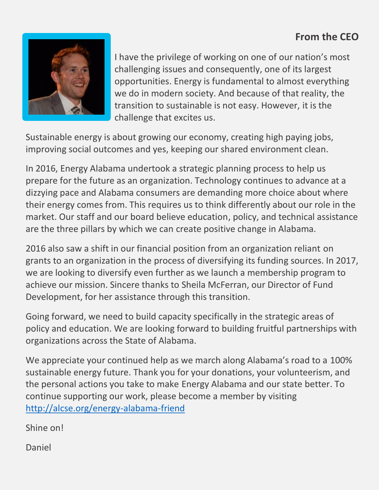### **From the CEO**



I have the privilege of working on one of our nation's most challenging issues and consequently, one of its largest opportunities. Energy is fundamental to almost everything we do in modern society. And because of that reality, the transition to sustainable is not easy. However, it is the challenge that excites us.

Sustainable energy is about growing our economy, creating high paying jobs, improving social outcomes and yes, keeping our shared environment clean.

In 2016, Energy Alabama undertook a strategic planning process to help us prepare for the future as an organization. Technology continues to advance at a dizzying pace and Alabama consumers are demanding more choice about where their energy comes from. This requires us to think differently about our role in the market. Our staff and our board believe education, policy, and technical assistance are the three pillars by which we can create positive change in Alabama.

2016 also saw a shift in our financial position from an organization reliant on grants to an organization in the process of diversifying its funding sources. In 2017, we are looking to diversify even further as we launch a membership program to achieve our mission. Sincere thanks to Sheila McFerran, our Director of Fund Development, for her assistance through this transition.

Going forward, we need to build capacity specifically in the strategic areas of policy and education. We are looking forward to building fruitful partnerships with organizations across the State of Alabama.

We appreciate your continued help as we march along Alabama's road to a 100% sustainable energy future. Thank you for your donations, your volunteerism, and the personal actions you take to make Energy Alabama and our state better. To continue supporting our work, please become a member by visiting <http://alcse.org/energy-alabama-friend>

Shine on!

Daniel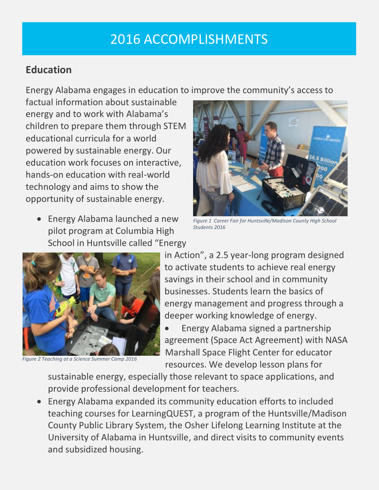## 2016 ACCOMPLISHMENTS

#### **Education**

Energy Alabama engages in education to improve the community's access to

factual information about sustainable energy and to work with Alabama's children to prepare them through STEM educational curricula for a world powered by sustainable energy. Our education work focuses on interactive, hands-on education with real-world technology and aims to show the opportunity of sustainable energy.

• Energy Alabama launched a new pilot program at Columbia High School in Huntsville called "Energy



*Figure 1 Career Fair for Huntsville/Madison County High School Students 2016*



*Figure 2 Teaching at a Science Summer Camp 2016*

in Action", a 2.5 year-long program designed to activate students to achieve real energy savings in their school and in community businesses. Students learn the basics of energy management and progress through a deeper working knowledge of energy.

• Energy Alabama signed a partnership agreement (Space Act Agreement) with NASA Marshall Space Flight Center for educator resources. We develop lesson plans for

sustainable energy, especially those relevant to space applications, and provide professional development for teachers.

• Energy Alabama expanded its community education efforts to included teaching courses for LearningQUEST, a program of the Huntsville/Madison County Public Library System, the Osher Lifelong Learning Institute at the University of Alabama in Huntsville, and direct visits to community events and subsidized housing.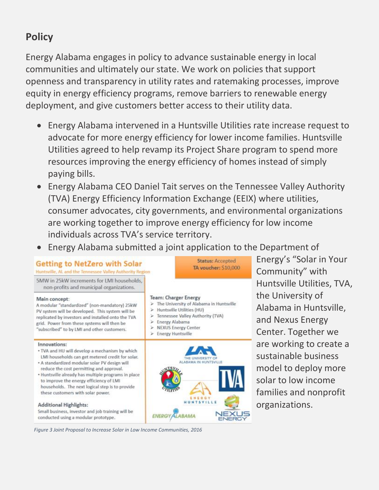### **Policy**

Energy Alabama engages in policy to advance sustainable energy in local communities and ultimately our state. We work on policies that support openness and transparency in utility rates and ratemaking processes, improve equity in energy efficiency programs, remove barriers to renewable energy deployment, and give customers better access to their utility data.

- Energy Alabama intervened in a Huntsville Utilities rate increase request to advocate for more energy efficiency for lower income families. Huntsville Utilities agreed to help revamp its Project Share program to spend more resources improving the energy efficiency of homes instead of simply paying bills.
- Energy Alabama CEO Daniel Tait serves on the Tennessee Valley Authority (TVA) Energy Efficiency Information Exchange (EEIX) where utilities, consumer advocates, city governments, and environmental organizations are working together to improve energy efficiency for low income individuals across TVA's service territory.
- Energy Alabama submitted a joint application to the Department of



Energy's "Solar in Your Community" with Huntsville Utilities, TVA, the University of Alabama in Huntsville, and Nexus Energy Center. Together we are working to create a sustainable business model to deploy more solar to low income families and nonprofit organizations.

*Figure 3 Joint Proposal to Increase Solar in Low Income Communities, 2016*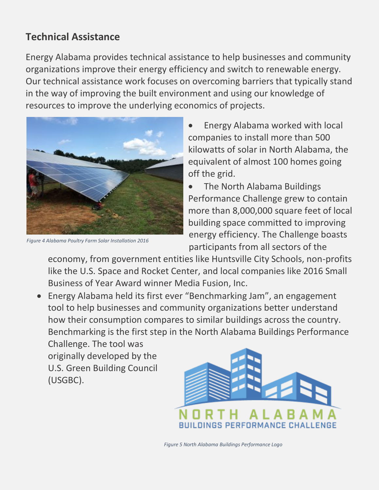#### **Technical Assistance**

Energy Alabama provides technical assistance to help businesses and community organizations improve their energy efficiency and switch to renewable energy. Our technical assistance work focuses on overcoming barriers that typically stand in the way of improving the built environment and using our knowledge of resources to improve the underlying economics of projects.



*Figure 4 Alabama Poultry Farm Solar Installation 2016*

• Energy Alabama worked with local companies to install more than 500 kilowatts of solar in North Alabama, the equivalent of almost 100 homes going off the grid.

• The North Alabama Buildings Performance Challenge grew to contain more than 8,000,000 square feet of local building space committed to improving energy efficiency. The Challenge boasts participants from all sectors of the

economy, from government entities like Huntsville City Schools, non-profits like the U.S. Space and Rocket Center, and local companies like 2016 Small Business of Year Award winner Media Fusion, Inc.

• Energy Alabama held its first ever "Benchmarking Jam", an engagement tool to help businesses and community organizations better understand how their consumption compares to similar buildings across the country. Benchmarking is the first step in the North Alabama Buildings Performance

Challenge. The tool was originally developed by the U.S. Green Building Council (USGBC).



*Figure 5 North Alabama Buildings Performance Logo*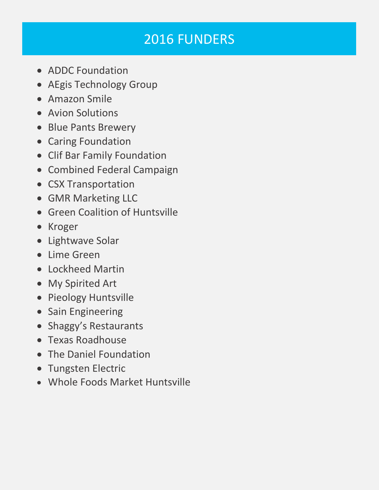# 2016 FUNDERS

- ADDC Foundation
- AEgis Technology Group
- Amazon Smile
- Avion Solutions
- Blue Pants Brewery
- Caring Foundation
- Clif Bar Family Foundation
- Combined Federal Campaign
- CSX Transportation
- GMR Marketing LLC
- Green Coalition of Huntsville
- Kroger
- Lightwave Solar
- Lime Green
- Lockheed Martin
- My Spirited Art
- Pieology Huntsville
- Sain Engineering
- Shaggy's Restaurants
- Texas Roadhouse
- The Daniel Foundation
- Tungsten Electric
- Whole Foods Market Huntsville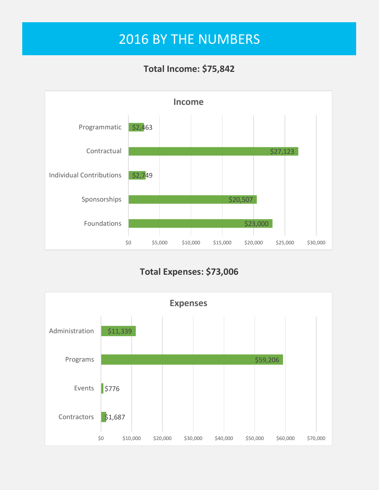## 2016 BY THE NUMBERS

#### **Total Income: \$75,842**



**Total Expenses: \$73,006**

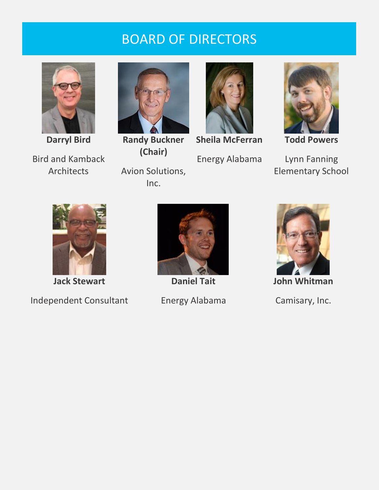### BOARD OF DIRECTORS



**Darryl Bird** Bird and Kamback Architects



**Randy Buckner (Chair)**

Avion Solutions, Inc.



**Sheila McFerran** Energy Alabama



**Todd Powers**

Lynn Fanning Elementary School



**Jack Stewart**

Independent Consultant



**Daniel Tait**

Energy Alabama



**John Whitman**

Camisary, Inc.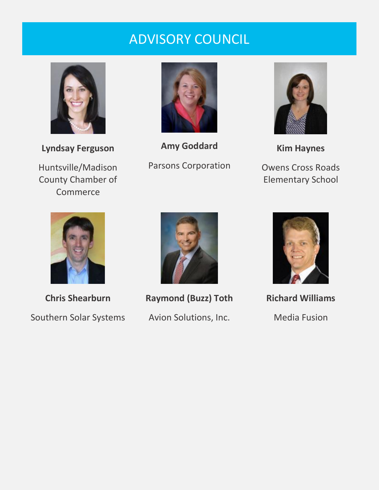### ADVISORY COUNCIL



**Lyndsay Ferguson**

Huntsville/Madison County Chamber of Commerce



**Amy Goddard** Parsons Corporation



**Kim Haynes** Owens Cross Roads Elementary School



**Chris Shearburn** Southern Solar Systems



**Raymond (Buzz) Toth** Avion Solutions, Inc.



**Richard Williams** Media Fusion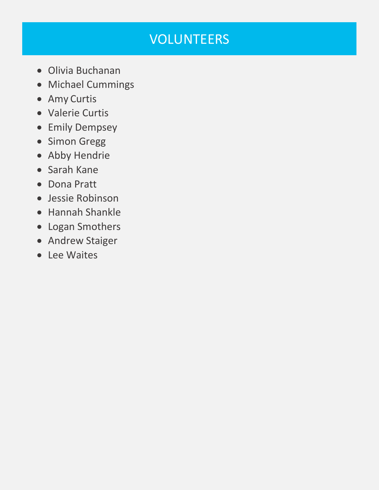# VOLUNTEERS

- Olivia Buchanan
- Michael Cummings
- Amy Curtis
- Valerie Curtis
- Emily Dempsey
- Simon Gregg
- Abby Hendrie
- Sarah Kane
- Dona Pratt
- Jessie Robinson
- Hannah Shankle
- Logan Smothers
- Andrew Staiger
- Lee Waites